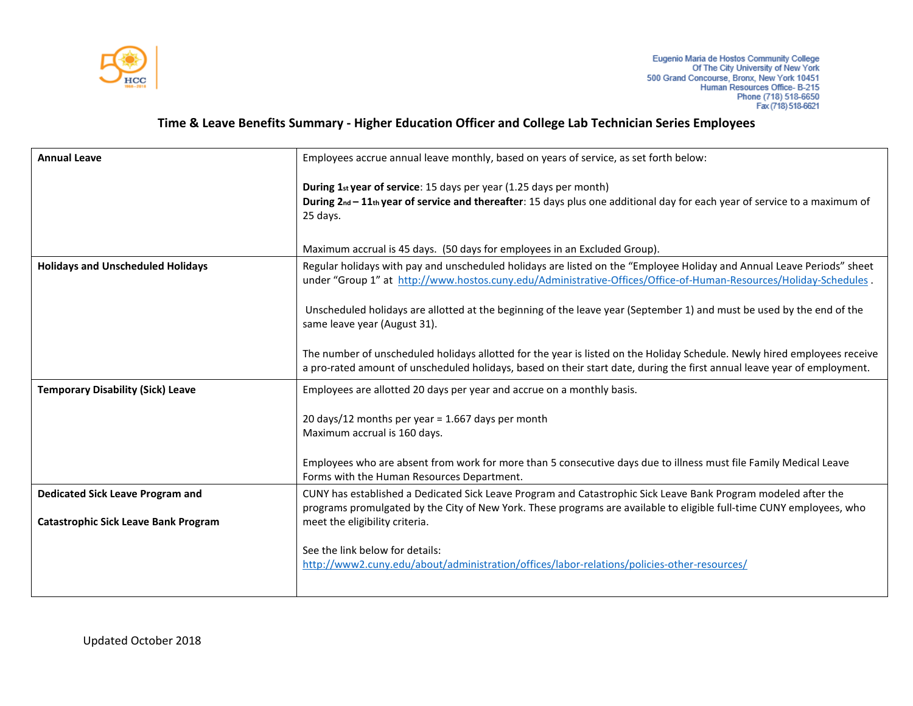

## **Time & Leave Benefits Summary - Higher Education Officer and College Lab Technician Series Employees**

| <b>Annual Leave</b>                         | Employees accrue annual leave monthly, based on years of service, as set forth below:                                                                                                                                                                 |
|---------------------------------------------|-------------------------------------------------------------------------------------------------------------------------------------------------------------------------------------------------------------------------------------------------------|
|                                             | During 1st year of service: 15 days per year (1.25 days per month)<br>During 2nd - 11th year of service and thereafter: 15 days plus one additional day for each year of service to a maximum of<br>25 days.                                          |
|                                             | Maximum accrual is 45 days. (50 days for employees in an Excluded Group).                                                                                                                                                                             |
| <b>Holidays and Unscheduled Holidays</b>    | Regular holidays with pay and unscheduled holidays are listed on the "Employee Holiday and Annual Leave Periods" sheet<br>under "Group 1" at http://www.hostos.cuny.edu/Administrative-Offices/Office-of-Human-Resources/Holiday-Schedules            |
|                                             | Unscheduled holidays are allotted at the beginning of the leave year (September 1) and must be used by the end of the<br>same leave year (August 31).                                                                                                 |
|                                             | The number of unscheduled holidays allotted for the year is listed on the Holiday Schedule. Newly hired employees receive<br>a pro-rated amount of unscheduled holidays, based on their start date, during the first annual leave year of employment. |
| <b>Temporary Disability (Sick) Leave</b>    | Employees are allotted 20 days per year and accrue on a monthly basis.                                                                                                                                                                                |
|                                             | 20 days/12 months per year = 1.667 days per month                                                                                                                                                                                                     |
|                                             | Maximum accrual is 160 days.                                                                                                                                                                                                                          |
|                                             |                                                                                                                                                                                                                                                       |
|                                             | Employees who are absent from work for more than 5 consecutive days due to illness must file Family Medical Leave<br>Forms with the Human Resources Department.                                                                                       |
| <b>Dedicated Sick Leave Program and</b>     | CUNY has established a Dedicated Sick Leave Program and Catastrophic Sick Leave Bank Program modeled after the<br>programs promulgated by the City of New York. These programs are available to eligible full-time CUNY employees, who                |
| <b>Catastrophic Sick Leave Bank Program</b> | meet the eligibility criteria.                                                                                                                                                                                                                        |
|                                             | See the link below for details:<br>http://www2.cuny.edu/about/administration/offices/labor-relations/policies-other-resources/                                                                                                                        |